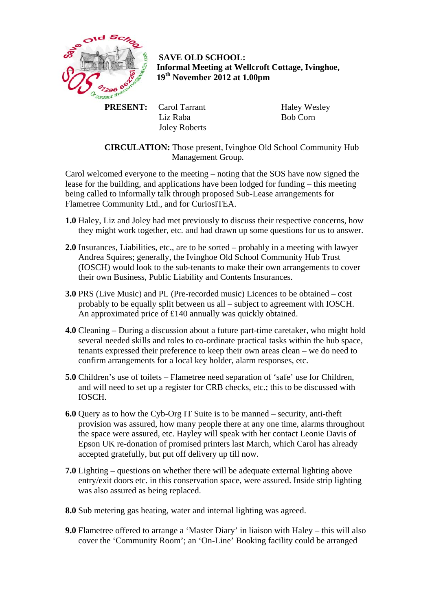

 **SAVE OLD SCHOOL: Informal Meeting at Wellcroft Cottage, Ivinghoe, 19th November 2012 at 1.00pm** 

 **PRESENT:** Carol Tarrant Liz Raba Joley Roberts  Haley Wesley Bob Corn

 **CIRCULATION:** Those present, Ivinghoe Old School Community Hub Management Group.

Carol welcomed everyone to the meeting – noting that the SOS have now signed the lease for the building, and applications have been lodged for funding – this meeting being called to informally talk through proposed Sub-Lease arrangements for Flametree Community Ltd., and for CuriosiTEA.

- **1.0** Haley, Liz and Joley had met previously to discuss their respective concerns, how they might work together, etc. and had drawn up some questions for us to answer.
- **2.0** Insurances, Liabilities, etc., are to be sorted probably in a meeting with lawyer Andrea Squires; generally, the Ivinghoe Old School Community Hub Trust (IOSCH) would look to the sub-tenants to make their own arrangements to cover their own Business, Public Liability and Contents Insurances.
- **3.0** PRS (Live Music) and PL (Pre-recorded music) Licences to be obtained cost probably to be equally split between us all – subject to agreement with IOSCH. An approximated price of £140 annually was quickly obtained.
- **4.0** Cleaning During a discussion about a future part-time caretaker, who might hold several needed skills and roles to co-ordinate practical tasks within the hub space, tenants expressed their preference to keep their own areas clean – we do need to confirm arrangements for a local key holder, alarm responses, etc.
- **5.0** Children's use of toilets Flametree need separation of 'safe' use for Children, and will need to set up a register for CRB checks, etc.; this to be discussed with IOSCH.
- **6.0** Query as to how the Cyb-Org IT Suite is to be manned security, anti-theft provision was assured, how many people there at any one time, alarms throughout the space were assured, etc. Hayley will speak with her contact Leonie Davis of Epson UK re-donation of promised printers last March, which Carol has already accepted gratefully, but put off delivery up till now.
- **7.0** Lighting questions on whether there will be adequate external lighting above entry/exit doors etc. in this conservation space, were assured. Inside strip lighting was also assured as being replaced.
- **8.0** Sub metering gas heating, water and internal lighting was agreed.
- **9.0** Flametree offered to arrange a 'Master Diary' in liaison with Haley this will also cover the 'Community Room'; an 'On-Line' Booking facility could be arranged